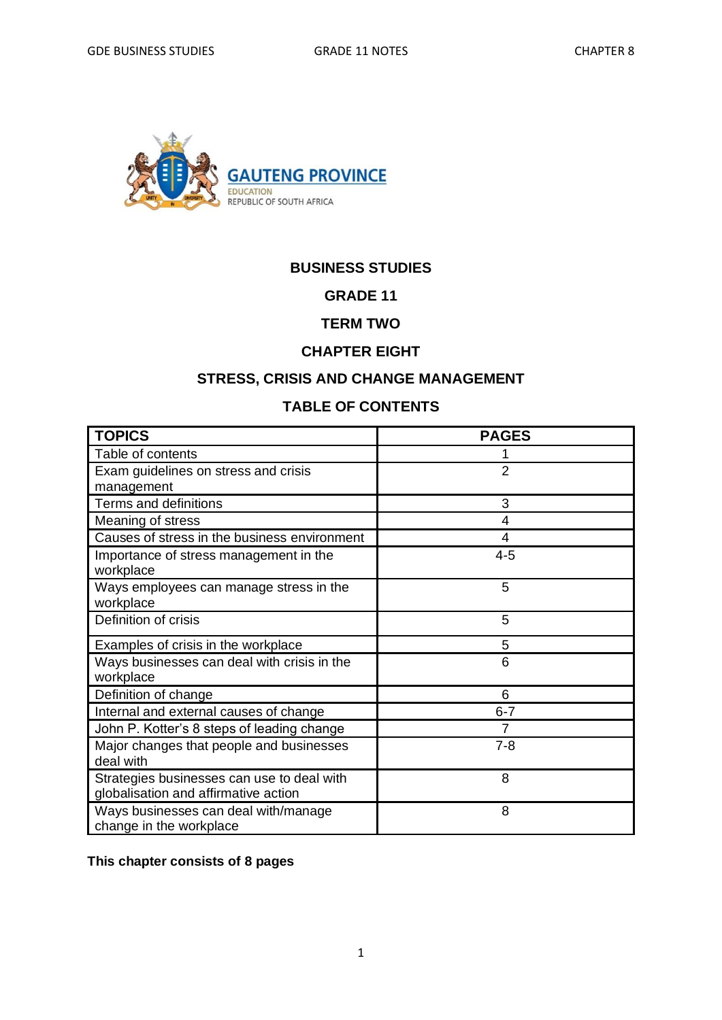

### **BUSINESS STUDIES**

#### **GRADE 11**

### **TERM TWO**

#### **CHAPTER EIGHT**

### **STRESS, CRISIS AND CHANGE MANAGEMENT**

## **TABLE OF CONTENTS**

| <b>TOPICS</b>                                                                      | <b>PAGES</b>   |
|------------------------------------------------------------------------------------|----------------|
| Table of contents                                                                  |                |
| Exam guidelines on stress and crisis                                               | $\overline{2}$ |
| management                                                                         |                |
| Terms and definitions                                                              | 3              |
| Meaning of stress                                                                  | 4              |
| Causes of stress in the business environment                                       | 4              |
| Importance of stress management in the<br>workplace                                | $4 - 5$        |
| Ways employees can manage stress in the<br>workplace                               | 5              |
| Definition of crisis                                                               | 5              |
| Examples of crisis in the workplace                                                | 5              |
| Ways businesses can deal with crisis in the<br>workplace                           | 6              |
| Definition of change                                                               | 6              |
| Internal and external causes of change                                             | $6 - 7$        |
| John P. Kotter's 8 steps of leading change                                         |                |
| Major changes that people and businesses<br>deal with                              | $7 - 8$        |
| Strategies businesses can use to deal with<br>globalisation and affirmative action | 8              |
| Ways businesses can deal with/manage<br>change in the workplace                    | 8              |

**This chapter consists of 8 pages**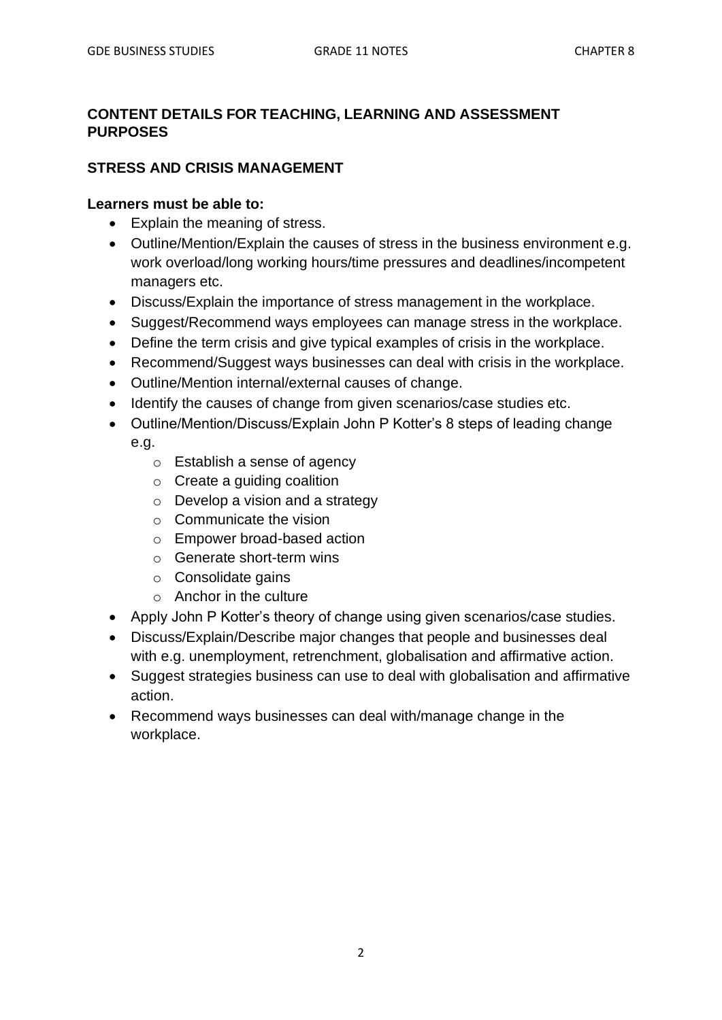## **CONTENT DETAILS FOR TEACHING, LEARNING AND ASSESSMENT PURPOSES**

### **STRESS AND CRISIS MANAGEMENT**

### **Learners must be able to:**

- Explain the meaning of stress.
- Outline/Mention/Explain the causes of stress in the business environment e.g. work overload/long working hours/time pressures and deadlines/incompetent managers etc.
- Discuss/Explain the importance of stress management in the workplace.
- Suggest/Recommend ways employees can manage stress in the workplace.
- Define the term crisis and give typical examples of crisis in the workplace.
- Recommend/Suggest ways businesses can deal with crisis in the workplace.
- Outline/Mention internal/external causes of change.
- Identify the causes of change from given scenarios/case studies etc.
- Outline/Mention/Discuss/Explain John P Kotter's 8 steps of leading change e.g.
	- o Establish a sense of agency
	- $\circ$  Create a guiding coalition
	- $\circ$  Develop a vision and a strategy
	- $\circ$  Communicate the vision
	- o Empower broad-based action
	- o Generate short-term wins
	- o Consolidate gains
	- o Anchor in the culture
- Apply John P Kotter's theory of change using given scenarios/case studies.
- Discuss/Explain/Describe major changes that people and businesses deal with e.g. unemployment, retrenchment, globalisation and affirmative action.
- Suggest strategies business can use to deal with globalisation and affirmative action.
- Recommend ways businesses can deal with/manage change in the workplace.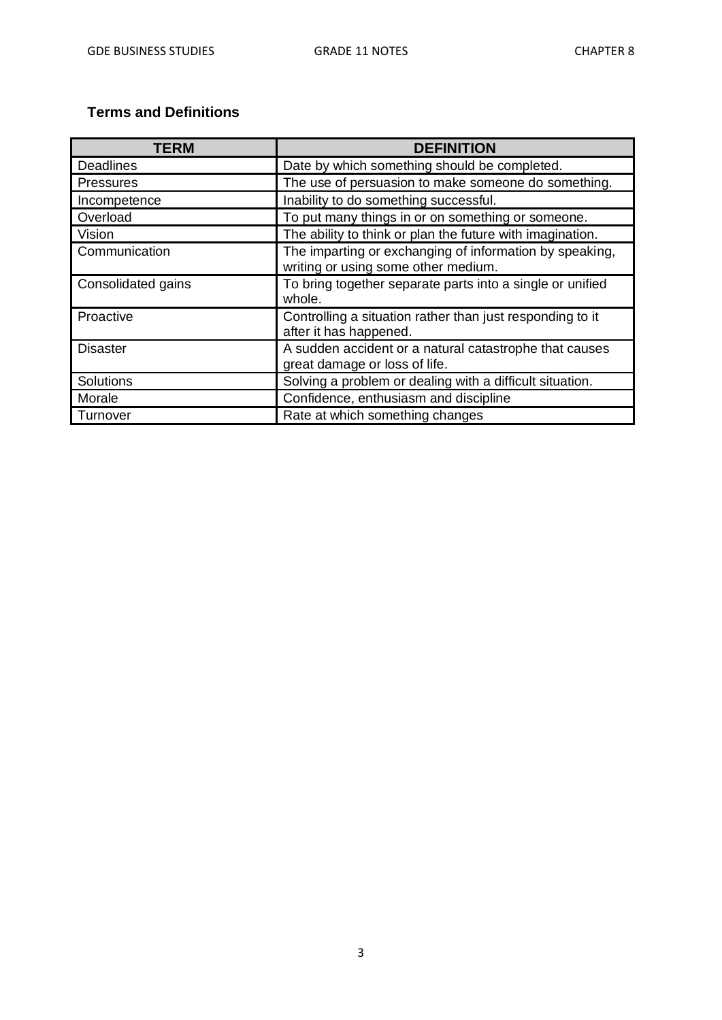## **Terms and Definitions**

| <b>TERM</b>        | <b>DEFINITION</b>                                                                              |
|--------------------|------------------------------------------------------------------------------------------------|
| <b>Deadlines</b>   | Date by which something should be completed.                                                   |
| <b>Pressures</b>   | The use of persuasion to make someone do something.                                            |
| Incompetence       | Inability to do something successful.                                                          |
| Overload           | To put many things in or on something or someone.                                              |
| Vision             | The ability to think or plan the future with imagination.                                      |
| Communication      | The imparting or exchanging of information by speaking,<br>writing or using some other medium. |
| Consolidated gains | To bring together separate parts into a single or unified<br>whole.                            |
| Proactive          | Controlling a situation rather than just responding to it<br>after it has happened.            |
| <b>Disaster</b>    | A sudden accident or a natural catastrophe that causes<br>great damage or loss of life.        |
| Solutions          | Solving a problem or dealing with a difficult situation.                                       |
| Morale             | Confidence, enthusiasm and discipline                                                          |
| Turnover           | Rate at which something changes                                                                |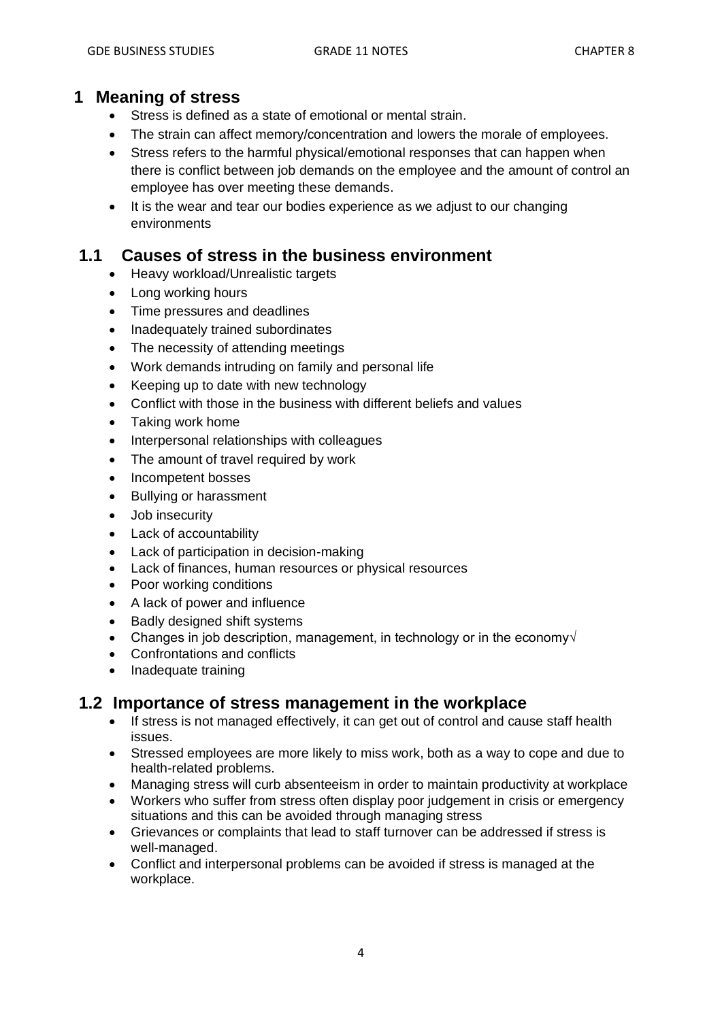## **1 Meaning of stress**

- Stress is defined as a state of emotional or mental strain.
- The strain can affect memory/concentration and lowers the morale of employees.
- Stress refers to the harmful physical/emotional responses that can happen when there is conflict between job demands on the employee and the amount of control an employee has over meeting these demands.
- It is the wear and tear our bodies experience as we adjust to our changing environments

## **1.1 Causes of stress in the business environment**

- Heavy workload/Unrealistic targets
- Long working hours
- Time pressures and deadlines
- Inadequately trained subordinates
- The necessity of attending meetings
- Work demands intruding on family and personal life
- Keeping up to date with new technology
- Conflict with those in the business with different beliefs and values
- Taking work home
- Interpersonal relationships with colleagues
- The amount of travel required by work
- Incompetent bosses
- Bullying or harassment
- Job insecurity
- Lack of accountability
- Lack of participation in decision-making
- Lack of finances, human resources or physical resources
- Poor working conditions
- A lack of power and influence
- Badly designed shift systems
- Changes in job description, management, in technology or in the economy $\sqrt{ }$
- Confrontations and conflicts
- Inadequate training

## **1.2 Importance of stress management in the workplace**

- If stress is not managed effectively, it can get out of control and cause staff health issues.
- Stressed employees are more likely to miss work, both as a way to cope and due to health-related problems.
- Managing stress will curb absenteeism in order to maintain productivity at workplace
- Workers who suffer from stress often display poor judgement in crisis or emergency situations and this can be avoided through managing stress
- Grievances or complaints that lead to staff turnover can be addressed if stress is well-managed.
- Conflict and interpersonal problems can be avoided if stress is managed at the workplace.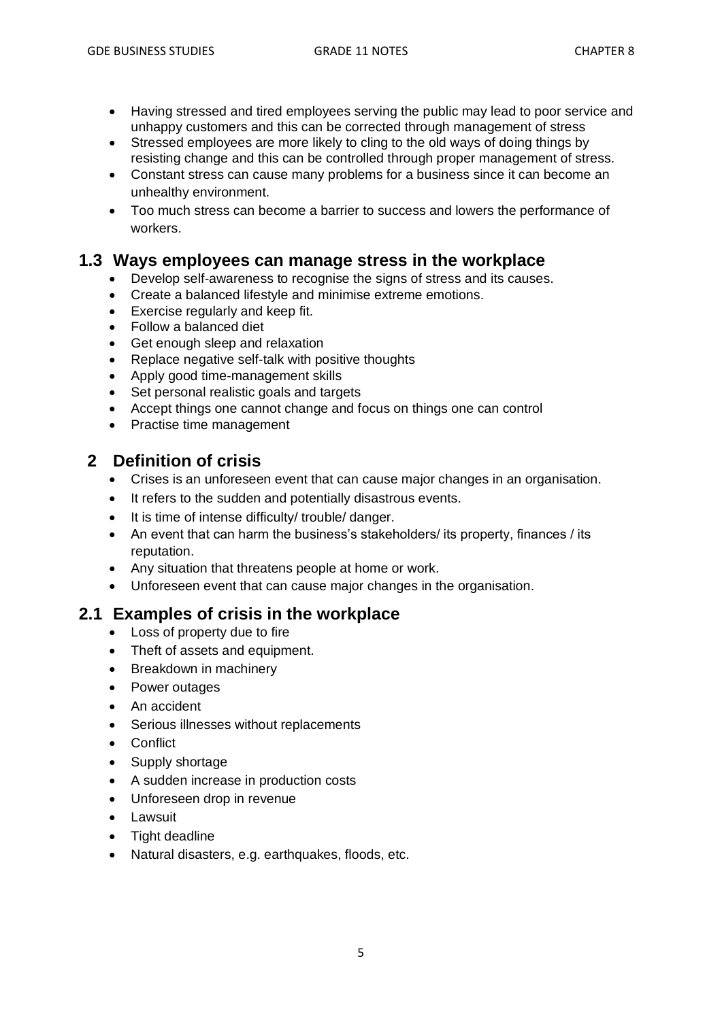- Having stressed and tired employees serving the public may lead to poor service and unhappy customers and this can be corrected through management of stress
- Stressed employees are more likely to cling to the old ways of doing things by resisting change and this can be controlled through proper management of stress.
- Constant stress can cause many problems for a business since it can become an unhealthy environment.
- Too much stress can become a barrier to success and lowers the performance of workers.

## **1.3 Ways employees can manage stress in the workplace**

- Develop self-awareness to recognise the signs of stress and its causes.
- Create a balanced lifestyle and minimise extreme emotions.
- Exercise regularly and keep fit.
- Follow a balanced diet
- Get enough sleep and relaxation
- Replace negative self-talk with positive thoughts
- Apply good time-management skills
- Set personal realistic goals and targets
- Accept things one cannot change and focus on things one can control
- Practise time management

## **2 Definition of crisis**

- Crises is an unforeseen event that can cause major changes in an organisation.
- It refers to the sudden and potentially disastrous events.
- It is time of intense difficulty/ trouble/ danger.
- An event that can harm the business's stakeholders/ its property, finances / its reputation.
- Any situation that threatens people at home or work.
- Unforeseen event that can cause major changes in the organisation.

### **2.1 Examples of crisis in the workplace**

- Loss of property due to fire
- Theft of assets and equipment.
- Breakdown in machinery
- Power outages
- An accident
- Serious illnesses without replacements
- Conflict
- Supply shortage
- A sudden increase in production costs
- Unforeseen drop in revenue
- Lawsuit
- Tight deadline
- Natural disasters, e.g. earthquakes, floods, etc.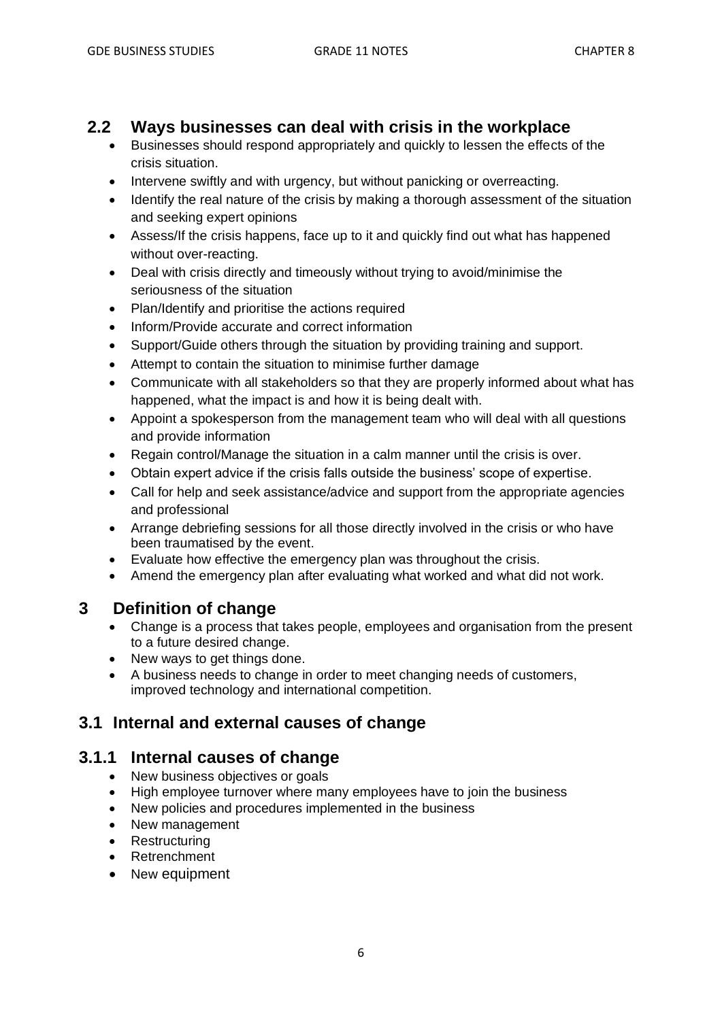# **2.2 Ways businesses can deal with crisis in the workplace**

- Businesses should respond appropriately and quickly to lessen the effects of the crisis situation.
- Intervene swiftly and with urgency, but without panicking or overreacting.
- Identify the real nature of the crisis by making a thorough assessment of the situation and seeking expert opinions
- Assess/If the crisis happens, face up to it and quickly find out what has happened without over-reacting.
- Deal with crisis directly and timeously without trying to avoid/minimise the seriousness of the situation
- Plan/Identify and prioritise the actions required
- Inform/Provide accurate and correct information
- Support/Guide others through the situation by providing training and support.
- Attempt to contain the situation to minimise further damage
- Communicate with all stakeholders so that they are properly informed about what has happened, what the impact is and how it is being dealt with.
- Appoint a spokesperson from the management team who will deal with all questions and provide information
- Regain control/Manage the situation in a calm manner until the crisis is over.
- Obtain expert advice if the crisis falls outside the business' scope of expertise.
- Call for help and seek assistance/advice and support from the appropriate agencies and professional
- Arrange debriefing sessions for all those directly involved in the crisis or who have been traumatised by the event.
- Evaluate how effective the emergency plan was throughout the crisis.
- Amend the emergency plan after evaluating what worked and what did not work.

# **3 Definition of change**

- Change is a process that takes people, employees and organisation from the present to a future desired change.
- New ways to get things done.
- A business needs to change in order to meet changing needs of customers, improved technology and international competition.

# **3.1 Internal and external causes of change**

## **3.1.1 Internal causes of change**

- New business objectives or goals
- High employee turnover where many employees have to join the business
- New policies and procedures implemented in the business
- New management
- Restructuring
- Retrenchment
- New equipment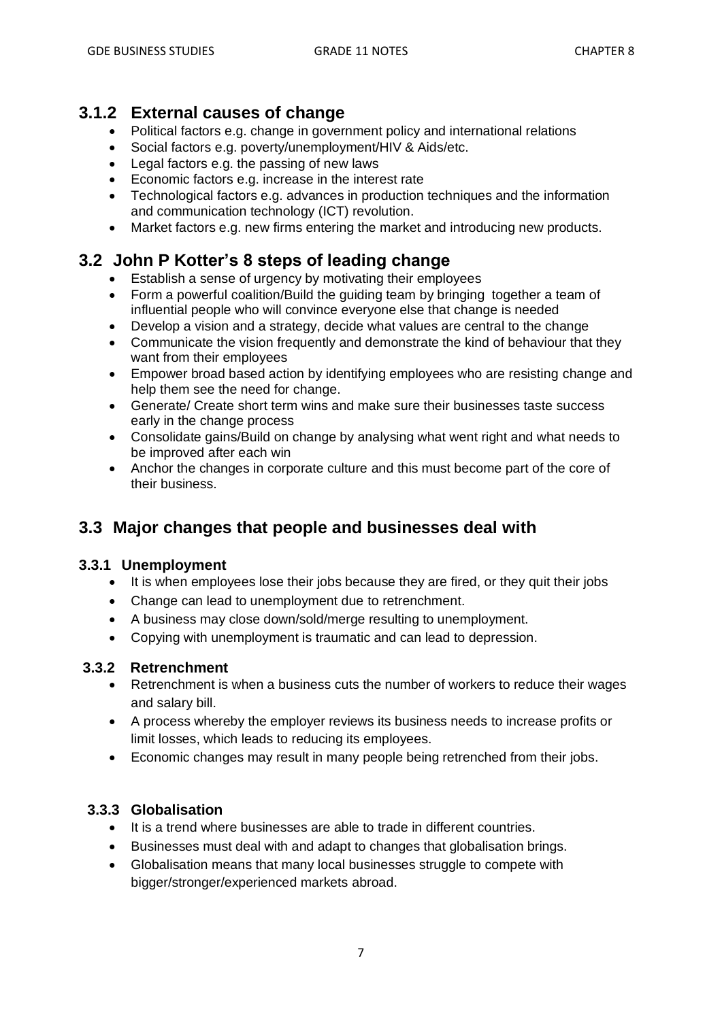# **3.1.2 External causes of change**

- Political factors e.g. change in government policy and international relations
- Social factors e.g. poverty/unemployment/HIV & Aids/etc.
- Legal factors e.g. the passing of new laws
- Economic factors e.g. increase in the interest rate
- Technological factors e.g. advances in production techniques and the information and communication technology (ICT) revolution.
- Market factors e.g. new firms entering the market and introducing new products.

# **3.2 John P Kotter's 8 steps of leading change**

- Establish a sense of urgency by motivating their employees
- Form a powerful coalition/Build the guiding team by bringing together a team of influential people who will convince everyone else that change is needed
- Develop a vision and a strategy, decide what values are central to the change
- Communicate the vision frequently and demonstrate the kind of behaviour that they want from their employees
- Empower broad based action by identifying employees who are resisting change and help them see the need for change.
- Generate/ Create short term wins and make sure their businesses taste success early in the change process
- Consolidate gains/Build on change by analysing what went right and what needs to be improved after each win
- Anchor the changes in corporate culture and this must become part of the core of their business.

# **3.3 Major changes that people and businesses deal with**

### **3.3.1 Unemployment**

- It is when employees lose their jobs because they are fired, or they quit their jobs
- Change can lead to unemployment due to retrenchment.
- A business may close down/sold/merge resulting to unemployment.
- Copying with unemployment is traumatic and can lead to depression.

### **3.3.2 Retrenchment**

- Retrenchment is when a business cuts the number of workers to reduce their wages and salary bill.
- A process whereby the employer reviews its business needs to increase profits or limit losses, which leads to reducing its employees.
- Economic changes may result in many people being retrenched from their jobs.

### **3.3.3 Globalisation**

- It is a trend where businesses are able to trade in different countries.
- Businesses must deal with and adapt to changes that globalisation brings.
- Globalisation means that many local businesses struggle to compete with bigger/stronger/experienced markets abroad.